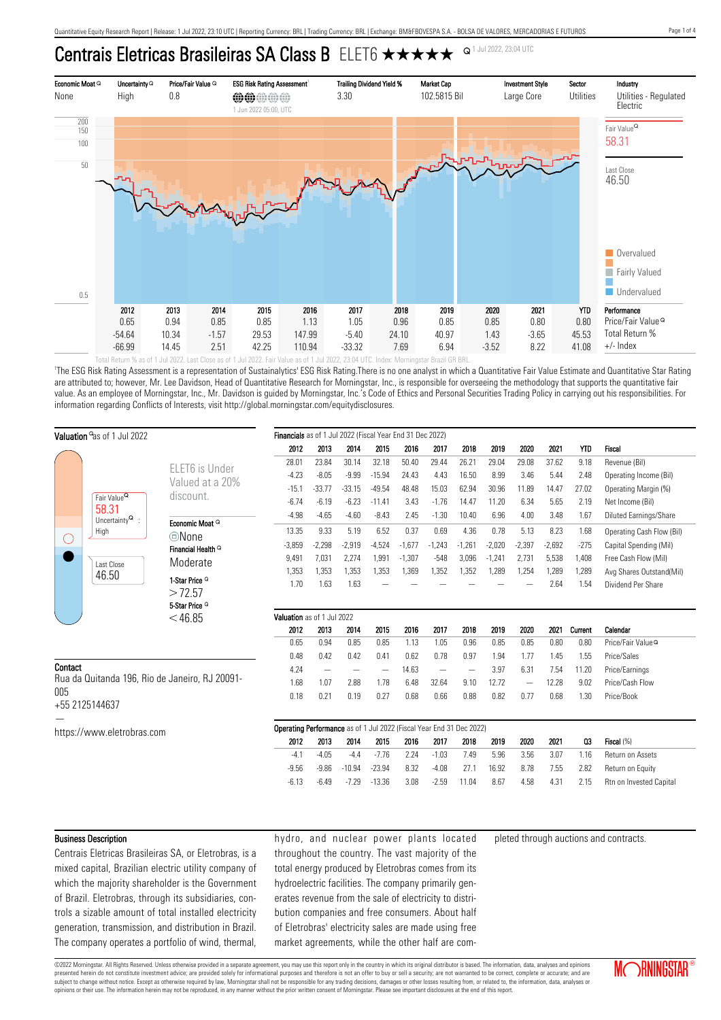# Centrais Eletricas Brasileiras SA Class B ELET6  $\star \star \star \star \star$  <sup>Q1 Jul 2022, 23:04 UTC</sup>



'The ESG Risk Rating Assessment is a representation of Sustainalytics' ESG Risk Rating.There is no one analyst in which a Quantitative Fair Value Estimate and Quantitative Star Rating are attributed to; however, Mr. Lee Davidson, Head of Quantitative Research for Morningstar, Inc., is responsible for overseeing the methodology that supports the quantitative fair value. As an employee of Morningstar, Inc., Mr. Davidson is guided by Morningstar, Inc.'s Code of Ethics and Personal Securities Trading Policy in carrying out his responsibilities. For information regarding Conflicts of Interests, visit http://global.morningstar.com/equitydisclosures.

| Valuation <sup>o</sup> as of 1 Jul 2022                          |                                                                                                    |                                        | Financials as of 1 Jul 2022 (Fiscal Year End 31 Dec 2022)            |          |          |                   |          |          |                          |          |                          |          |            |                               |
|------------------------------------------------------------------|----------------------------------------------------------------------------------------------------|----------------------------------------|----------------------------------------------------------------------|----------|----------|-------------------|----------|----------|--------------------------|----------|--------------------------|----------|------------|-------------------------------|
|                                                                  |                                                                                                    |                                        | 2012                                                                 | 2013     | 2014     | 2015              | 2016     | 2017     | 2018                     | 2019     | 2020                     | 2021     | <b>YTD</b> | Fiscal                        |
|                                                                  |                                                                                                    | ELET6 is Under<br>Valued at a 20%      | 28.01                                                                | 23.84    | 30.14    | 32.18             | 50.40    | 29.44    | 26.21                    | 29.04    | 29.08                    | 37.62    | 9.18       | Revenue (Bil)                 |
|                                                                  |                                                                                                    |                                        | $-4.23$                                                              | $-8.05$  | $-9.99$  | $-15.94$          | 24.43    | 4.43     | 16.50                    | 8.99     | 3.46                     | 5.44     | 2.48       | Operating Income (Bil)        |
|                                                                  |                                                                                                    |                                        | $-15.1$                                                              | $-33.77$ | $-33.15$ | $-49.54$          | 48.48    | 15.03    | 62.94                    | 30.96    | 11.89                    | 14.47    | 27.02      | Operating Margin (%)          |
|                                                                  | Fair Value <sup>Q</sup><br>58.31<br>Uncertainty $^{\mathsf{Q}}\,$ :<br>High<br>Last Close<br>46.50 | discount.                              | $-6.74$                                                              | $-6.19$  | $-6.23$  | $-11.41$          | 3.43     | $-1.76$  | 14.47                    | 11.20    | 6.34                     | 5.65     | 2.19       | Net Income (Bil)              |
|                                                                  |                                                                                                    | Economic Moat Q                        | $-4.98$                                                              | $-4.65$  | $-4.60$  | $-8.43$           | 2.45     | $-1.30$  | 10.40                    | 6.96     | 4.00                     | 3.48     | 1.67       | Diluted Earnings/Share        |
|                                                                  |                                                                                                    | ©None                                  | 13.35                                                                | 9.33     | 5.19     | 6.52              | 0.37     | 0.69     | 4.36                     | 0.78     | 5.13                     | 8.23     | 1.68       | Operating Cash Flow (Bil)     |
| $\left(\ \right)$                                                |                                                                                                    | Financial Health <sup>Q</sup>          | $-3,859$                                                             | $-2,298$ | $-2,919$ | $-4,524$          | $-1,677$ | $-1,243$ | $-1,261$                 | $-2,020$ | $-2,397$                 | $-2,692$ | $-275$     | Capital Spending (Mil)        |
|                                                                  |                                                                                                    | Moderate                               | 9,491                                                                | 7,031    | 2,274    | 1,991             | $-1,307$ | $-548$   | 3,096                    | $-1,241$ | 2,731                    | 5,538    | 1,408      | Free Cash Flow (Mil)          |
|                                                                  |                                                                                                    |                                        | 1,353                                                                | 1,353    | 1,353    | 1,353             | 1,369    | 1,352    | 1,352                    | 1,289    | 1,254                    | 1,289    | 1,289      | Avg Shares Outstand(Mil)      |
|                                                                  |                                                                                                    | 1-Star Price <sup>Q</sup>              | 1.70                                                                 | 1.63     | 1.63     |                   |          |          |                          |          |                          | 2.64     | 1.54       | Dividend Per Share            |
|                                                                  |                                                                                                    | >72.57                                 |                                                                      |          |          |                   |          |          |                          |          |                          |          |            |                               |
|                                                                  |                                                                                                    | 5-Star Price <sup>Q</sup><br>$<$ 46.85 | Valuation as of 1 Jul 2022                                           |          |          |                   |          |          |                          |          |                          |          |            |                               |
|                                                                  |                                                                                                    |                                        |                                                                      | 2013     | 2014     | 2015              | 2016     | 2017     | 2018                     | 2019     | 2020                     | 2021     | Current    | Calendar                      |
|                                                                  |                                                                                                    |                                        | 2012<br>0.65                                                         | 0.94     | 0.85     | 0.85              | 1.13     | 1.05     | 0.96                     | 0.85     | 0.85                     | 0.80     | 0.80       | Price/Fair Value <sup>Q</sup> |
|                                                                  |                                                                                                    |                                        | 0.48                                                                 | 0.42     | 0.42     | 0.41              | 0.62     | 0.78     | 0.97                     | 1.94     | 1.77                     | 1.45     | 1.55       | Price/Sales                   |
| Contact<br>Rua da Quitanda 196, Rio de Janeiro, RJ 20091-<br>005 |                                                                                                    |                                        | 4.24                                                                 |          |          | $\qquad \qquad -$ | 14.63    |          | $\overline{\phantom{m}}$ | 3.97     | 6.31                     | 7.54     | 11.20      | Price/Earnings                |
|                                                                  |                                                                                                    |                                        | 1.68                                                                 | 1.07     | 2.88     | 1.78              | 6.48     | 32.64    | 9.10                     | 12.72    | $\overline{\phantom{m}}$ | 12.28    | 9.02       | Price/Cash Flow               |
|                                                                  |                                                                                                    |                                        | 0.18                                                                 | 0.21     | 0.19     | 0.27              | 0.68     | 0.66     | 0.88                     | 0.82     | 0.77                     | 0.68     | 1.30       | Price/Book                    |
|                                                                  | +55 2125144637                                                                                     |                                        |                                                                      |          |          |                   |          |          |                          |          |                          |          |            |                               |
|                                                                  | https://www.eletrobras.com                                                                         |                                        | Operating Performance as of 1 Jul 2022 (Fiscal Year End 31 Dec 2022) |          |          |                   |          |          |                          |          |                          |          |            |                               |
|                                                                  |                                                                                                    |                                        | 2012                                                                 | 2013     | 2014     | 2015              | 2016     | 2017     | 2018                     | 2019     | 2020                     | 2021     | Q3         | Fiscal (%)                    |
|                                                                  |                                                                                                    |                                        | $-4.1$                                                               | $-4.05$  | $-4.4$   | $-7.76$           | 2.24     | $-1.03$  | 7.49                     | 5.96     | 3.56                     | 3.07     | 1.16       | Return on Assets              |
|                                                                  |                                                                                                    |                                        | $-9.56$                                                              | $-9.86$  | $-10.94$ | $-23.94$          | 8.32     | $-4.08$  | 27.1                     | 16.92    | 8.78                     | 7.55     | 2.82       | Return on Equity              |
|                                                                  |                                                                                                    |                                        | $-6.13$                                                              | $-6.49$  | $-7.29$  | $-13.36$          | 3.08     | $-2.59$  | 11.04                    | 8.67     | 4.58                     | 4.31     | 2.15       | Rtn on Invested Capital       |
|                                                                  |                                                                                                    |                                        |                                                                      |          |          |                   |          |          |                          |          |                          |          |            |                               |

#### Business Description

Centrais Eletricas Brasileiras SA, or Eletrobras, is a mixed capital, Brazilian electric utility company of which the majority shareholder is the Government of Brazil. Eletrobras, through its subsidiaries, controls a sizable amount of total installed electricity generation, transmission, and distribution in Brazil. The company operates a portfolio of wind, thermal, hydro, and nuclear power plants located throughout the country. The vast majority of the total energy produced by Eletrobras comes from its hydroelectric facilities. The company primarily generates revenue from the sale of electricity to distribution companies and free consumers. About half of Eletrobras' electricity sales are made using free market agreements, while the other half are completed through auctions and contracts.

©2022 Morningstar. All Rights Reserved. Unless otherwise provided in a separate agreement, you may use this report only in the country in which its original distributor is based. The information, data, analyses and opinions presented herein do not constitute investment advice; are provided solely for informational purposes and therefore is not an offer to buy or sell a security; are not warranted to be correct, complete or accurate; and are subject to change without notice. Except as otherwise required by law, Morningstar shall not be responsible for any trading decisions, damages or other losses resulting from, or related to, the information, data, analyses opinions or their use. The information herein may not be reproduced, in any manner without the prior written consent of Morningstar. Please see important disclosures at the end of this report.

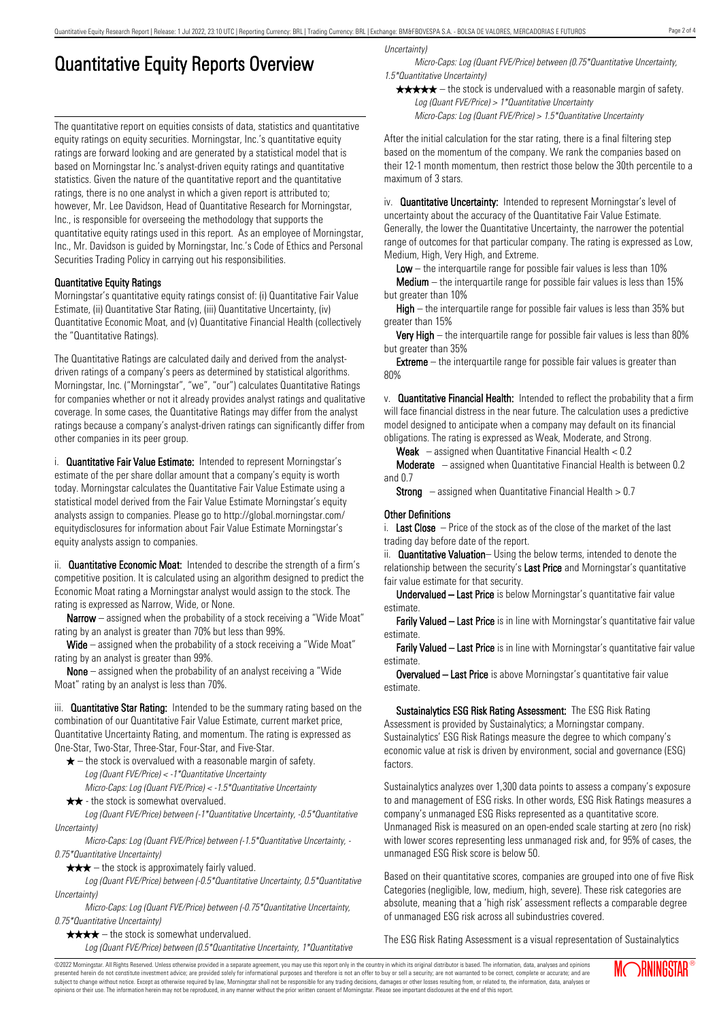## Quantitative Equity Reports Overview

The quantitative report on equities consists of data, statistics and quantitative equity ratings on equity securities. Morningstar, Inc.'s quantitative equity ratings are forward looking and are generated by a statistical model that is based on Morningstar Inc.'s analyst-driven equity ratings and quantitative statistics. Given the nature of the quantitative report and the quantitative ratings, there is no one analyst in which a given report is attributed to; however, Mr. Lee Davidson, Head of Quantitative Research for Morningstar, Inc., is responsible for overseeing the methodology that supports the quantitative equity ratings used in this report. As an employee of Morningstar, Inc., Mr. Davidson is guided by Morningstar, Inc.'s Code of Ethics and Personal Securities Trading Policy in carrying out his responsibilities.

## Quantitative Equity Ratings

Morningstar's quantitative equity ratings consist of: (i) Quantitative Fair Value Estimate, (ii) Quantitative Star Rating, (iii) Quantitative Uncertainty, (iv) Quantitative Economic Moat, and (v) Quantitative Financial Health (collectively the "Quantitative Ratings).

The Quantitative Ratings are calculated daily and derived from the analystdriven ratings of a company's peers as determined by statistical algorithms. Morningstar, Inc. ("Morningstar", "we", "our") calculates Quantitative Ratings for companies whether or not it already provides analyst ratings and qualitative coverage. In some cases, the Quantitative Ratings may differ from the analyst ratings because a company's analyst-driven ratings can significantly differ from other companies in its peer group.

i. **Quantitative Fair Value Estimate:** Intended to represent Morningstar's estimate of the per share dollar amount that a company's equity is worth today. Morningstar calculates the Quantitative Fair Value Estimate using a statistical model derived from the Fair Value Estimate Morningstar's equity analysts assign to companies. Please go to http://global.morningstar.com/ equitydisclosures for information about Fair Value Estimate Morningstar's equity analysts assign to companies.

ii. **Quantitative Economic Moat:** Intended to describe the strength of a firm's competitive position. It is calculated using an algorithm designed to predict the Economic Moat rating a Morningstar analyst would assign to the stock. The rating is expressed as Narrow, Wide, or None.

**Narrow** – assigned when the probability of a stock receiving a "Wide Moat" rating by an analyst is greater than 70% but less than 99%.

Wide – assigned when the probability of a stock receiving a "Wide Moat" rating by an analyst is greater than 99%.

None – assigned when the probability of an analyst receiving a "Wide Moat" rating by an analyst is less than 70%.

iii. **Quantitative Star Rating:** Intended to be the summary rating based on the combination of our Quantitative Fair Value Estimate, current market price, Quantitative Uncertainty Rating, and momentum. The rating is expressed as One-Star, Two-Star, Three-Star, Four-Star, and Five-Star.

- $\star$  the stock is overvalued with a reasonable margin of safety. Log (Quant FVE/Price) < -1\*Quantitative Uncertainty
- Micro-Caps: Log (Quant FVE/Price) < -1.5\*Quantitative Uncertainty  $\star \star$  - the stock is somewhat overvalued.

Log (Quant FVE/Price) between (-1\*Quantitative Uncertainty, -0.5\*Quantitative Uncertainty)

Micro-Caps: Log (Quant FVE/Price) between (-1.5\*Quantitative Uncertainty, - 0.75\*Quantitative Uncertainty)

 $\star \star \star$  – the stock is approximately fairly valued.

Log (Quant FVE/Price) between (-0.5\*Quantitative Uncertainty, 0.5\*Quantitative Uncertainty)

Micro-Caps: Log (Quant FVE/Price) between (-0.75\*Quantitative Uncertainty, 0.75\*Quantitative Uncertainty)

 $\star \star \star \star$  – the stock is somewhat undervalued.

Log (Quant FVE/Price) between (0.5\*Quantitative Uncertainty, 1\*Quantitative

Uncertainty)

Micro-Caps: Log (Quant FVE/Price) between (0.75\*Quantitative Uncertainty, 1.5\*Quantitative Uncertainty)

 $\star \star \star \star$  – the stock is undervalued with a reasonable margin of safety. Log (Quant FVE/Price) > 1\*Quantitative Uncertainty

Micro-Caps: Log (Quant FVE/Price) > 1.5\*Quantitative Uncertainty

After the initial calculation for the star rating, there is a final filtering step based on the momentum of the company. We rank the companies based on their 12-1 month momentum, then restrict those below the 30th percentile to a maximum of 3 stars.

iv. **Quantitative Uncertainty:** Intended to represent Morningstar's level of uncertainty about the accuracy of the Quantitative Fair Value Estimate. Generally, the lower the Quantitative Uncertainty, the narrower the potential range of outcomes for that particular company. The rating is expressed as Low, Medium, High, Very High, and Extreme.

**Low** – the interguartile range for possible fair values is less than  $10\%$ 

**Medium** – the interquartile range for possible fair values is less than  $15\%$ but greater than 10%

High – the interquartile range for possible fair values is less than 35% but greater than 15%

Very High – the interquartile range for possible fair values is less than 80% but greater than 35%

**Extreme** – the interquartile range for possible fair values is greater than 80%

v. Quantitative Financial Health: Intended to reflect the probability that a firm will face financial distress in the near future. The calculation uses a predictive model designed to anticipate when a company may default on its financial obligations. The rating is expressed as Weak, Moderate, and Strong.

**Weak**  $-$  assigned when Quantitative Financial Health  $< 0.2$ 

Moderate – assigned when Quantitative Financial Health is between 0.2 and 0.7

**Strong** – assigned when Quantitative Financial Health  $> 0.7$ 

#### Other Definitions

i. Last Close  $-$  Price of the stock as of the close of the market of the last trading day before date of the report.

ii. **Quantitative Valuation**– Using the below terms, intended to denote the relationship between the security's Last Price and Morningstar's quantitative fair value estimate for that security.

Undervalued – Last Price is below Morningstar's quantitative fair value estimate.

Farily Valued – Last Price is in line with Morningstar's quantitative fair value estimate.

Farily Valued – Last Price is in line with Morningstar's quantitative fair value estimate.

Overvalued – Last Price is above Morningstar's quantitative fair value estimate.

Sustainalytics ESG Risk Rating Assessment: The ESG Risk Rating Assessment is provided by Sustainalytics; a Morningstar company. Sustainalytics' ESG Risk Ratings measure the degree to which company's economic value at risk is driven by environment, social and governance (ESG) factors.

Sustainalytics analyzes over 1,300 data points to assess a company's exposure to and management of ESG risks. In other words, ESG Risk Ratings measures a company's unmanaged ESG Risks represented as a quantitative score. Unmanaged Risk is measured on an open-ended scale starting at zero (no risk) with lower scores representing less unmanaged risk and, for 95% of cases, the unmanaged ESG Risk score is below 50.

Based on their quantitative scores, companies are grouped into one of five Risk Categories (negligible, low, medium, high, severe). These risk categories are absolute, meaning that a 'high risk' assessment reflects a comparable degree of unmanaged ESG risk across all subindustries covered.

The ESG Risk Rating Assessment is a visual representation of Sustainalytics

©2022 Morningstar. All Rights Reserved. Unless otherwise provided in a separate agreement, you may use this report only in the country in which its original distributor is based. The information, data, analyses and opinions presented herein do not constitute investment advice; are provided solely for informational purposes and therefore is not an offer to buy or sell a security; are not warranted to be correct, complete or accurate; and are subject to change without notice. Except as otherwise required by law, Morningstar shall not be responsible for any trading decisions, damages or other losses resulting from, or related to, the information, data, analyses or opinions or their use. The information herein may not be reproduced, in any manner without the prior written consent of Morningstar. Please see important disclosures at the end of this report.

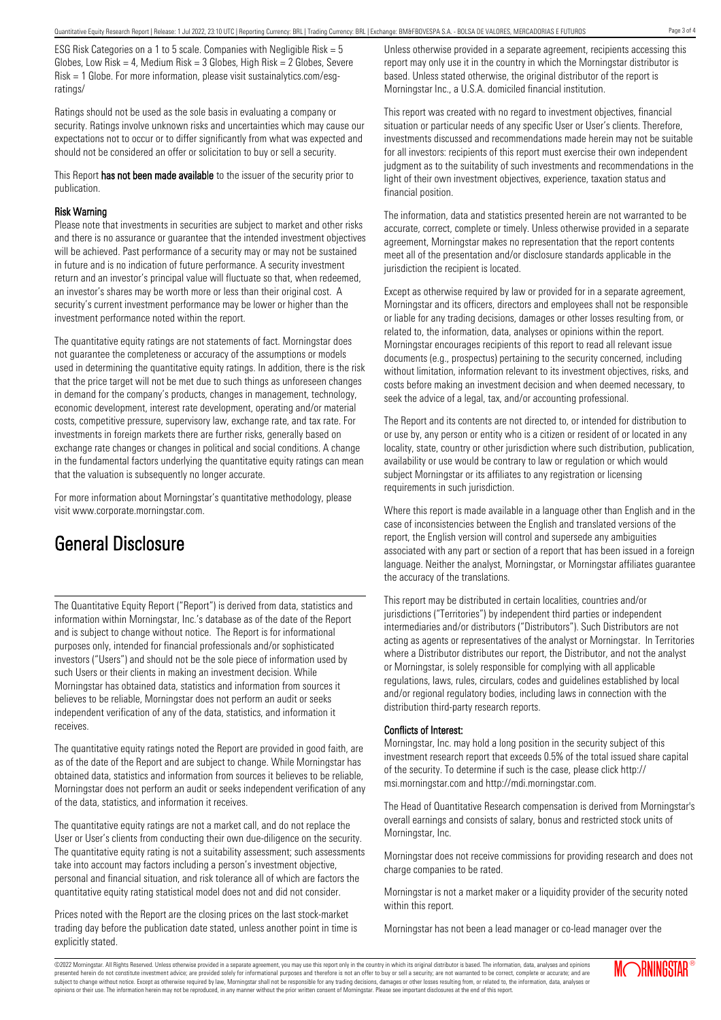ESG Risk Categories on a 1 to 5 scale. Companies with Negligible Risk = 5 Globes, Low Risk = 4, Medium Risk =  $3$  Globes, High Risk =  $2$  Globes, Severe Risk = 1 Globe. For more information, please visit sustainalytics.com/esgratings/

Ratings should not be used as the sole basis in evaluating a company or security. Ratings involve unknown risks and uncertainties which may cause our expectations not to occur or to differ significantly from what was expected and should not be considered an offer or solicitation to buy or sell a security.

This Report has not been made available to the issuer of the security prior to publication.

### Risk Warning

Please note that investments in securities are subject to market and other risks and there is no assurance or guarantee that the intended investment objectives will be achieved. Past performance of a security may or may not be sustained in future and is no indication of future performance. A security investment return and an investor's principal value will fluctuate so that, when redeemed, an investor's shares may be worth more or less than their original cost. A security's current investment performance may be lower or higher than the investment performance noted within the report.

The quantitative equity ratings are not statements of fact. Morningstar does not guarantee the completeness or accuracy of the assumptions or models used in determining the quantitative equity ratings. In addition, there is the risk that the price target will not be met due to such things as unforeseen changes in demand for the company's products, changes in management, technology, economic development, interest rate development, operating and/or material costs, competitive pressure, supervisory law, exchange rate, and tax rate. For investments in foreign markets there are further risks, generally based on exchange rate changes or changes in political and social conditions. A change in the fundamental factors underlying the quantitative equity ratings can mean that the valuation is subsequently no longer accurate.

For more information about Morningstar's quantitative methodology, please visit www.corporate.morningstar.com.

## General Disclosure

The Quantitative Equity Report ("Report") is derived from data, statistics and information within Morningstar, Inc.'s database as of the date of the Report and is subject to change without notice. The Report is for informational purposes only, intended for financial professionals and/or sophisticated investors ("Users") and should not be the sole piece of information used by such Users or their clients in making an investment decision. While Morningstar has obtained data, statistics and information from sources it believes to be reliable, Morningstar does not perform an audit or seeks independent verification of any of the data, statistics, and information it receives.

The quantitative equity ratings noted the Report are provided in good faith, are as of the date of the Report and are subject to change. While Morningstar has obtained data, statistics and information from sources it believes to be reliable, Morningstar does not perform an audit or seeks independent verification of any of the data, statistics, and information it receives.

The quantitative equity ratings are not a market call, and do not replace the User or User's clients from conducting their own due-diligence on the security. The quantitative equity rating is not a suitability assessment; such assessments take into account may factors including a person's investment objective, personal and financial situation, and risk tolerance all of which are factors the quantitative equity rating statistical model does not and did not consider.

Prices noted with the Report are the closing prices on the last stock-market trading day before the publication date stated, unless another point in time is explicitly stated.

Unless otherwise provided in a separate agreement, recipients accessing this report may only use it in the country in which the Morningstar distributor is based. Unless stated otherwise, the original distributor of the report is Morningstar Inc., a U.S.A. domiciled financial institution.

This report was created with no regard to investment objectives, financial situation or particular needs of any specific User or User's clients. Therefore, investments discussed and recommendations made herein may not be suitable for all investors: recipients of this report must exercise their own independent judgment as to the suitability of such investments and recommendations in the light of their own investment objectives, experience, taxation status and financial position.

The information, data and statistics presented herein are not warranted to be accurate, correct, complete or timely. Unless otherwise provided in a separate agreement, Morningstar makes no representation that the report contents meet all of the presentation and/or disclosure standards applicable in the jurisdiction the recipient is located.

Except as otherwise required by law or provided for in a separate agreement, Morningstar and its officers, directors and employees shall not be responsible or liable for any trading decisions, damages or other losses resulting from, or related to, the information, data, analyses or opinions within the report. Morningstar encourages recipients of this report to read all relevant issue documents (e.g., prospectus) pertaining to the security concerned, including without limitation, information relevant to its investment objectives, risks, and costs before making an investment decision and when deemed necessary, to seek the advice of a legal, tax, and/or accounting professional.

The Report and its contents are not directed to, or intended for distribution to or use by, any person or entity who is a citizen or resident of or located in any locality, state, country or other jurisdiction where such distribution, publication, availability or use would be contrary to law or regulation or which would subject Morningstar or its affiliates to any registration or licensing requirements in such jurisdiction.

Where this report is made available in a language other than English and in the case of inconsistencies between the English and translated versions of the report, the English version will control and supersede any ambiguities associated with any part or section of a report that has been issued in a foreign language. Neither the analyst, Morningstar, or Morningstar affiliates guarantee the accuracy of the translations.

This report may be distributed in certain localities, countries and/or jurisdictions ("Territories") by independent third parties or independent intermediaries and/or distributors ("Distributors"). Such Distributors are not acting as agents or representatives of the analyst or Morningstar. In Territories where a Distributor distributes our report, the Distributor, and not the analyst or Morningstar, is solely responsible for complying with all applicable regulations, laws, rules, circulars, codes and guidelines established by local and/or regional regulatory bodies, including laws in connection with the distribution third-party research reports.

## Conflicts of Interest:

Morningstar, Inc. may hold a long position in the security subject of this investment research report that exceeds 0.5% of the total issued share capital of the security. To determine if such is the case, please click http:// msi.morningstar.com and http://mdi.morningstar.com.

The Head of Quantitative Research compensation is derived from Morningstar's overall earnings and consists of salary, bonus and restricted stock units of Morningstar, Inc.

Morningstar does not receive commissions for providing research and does not charge companies to be rated.

Morningstar is not a market maker or a liquidity provider of the security noted within this report.

Morningstar has not been a lead manager or co-lead manager over the

©2022 Morningstar. All Rights Reserved. Unless otherwise provided in a separate agreement, you may use this report only in the country in which its original distributor is based. The information, data, analyses and opinions presented herein do not constitute investment advice; are provided solely for informational purposes and therefore is not an offer to buy or sell a security; are not warranted to be correct, complete or accurate; and are subject to change without notice. Except as otherwise required by law, Morningstar shall not be responsible for any trading decisions, damages or other losses resulting from, or related to, the information, data, analyses or opinions or their use. The information herein may not be reproduced, in any manner without the prior written consent of Morningstar. Please see important disclosures at the end of this report.